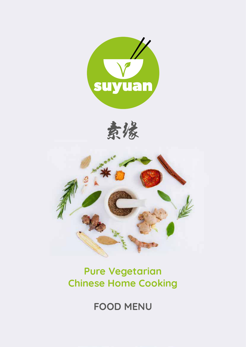





# **Pure Vegetarian Chinese Home Cooking**

**FOOD MENU**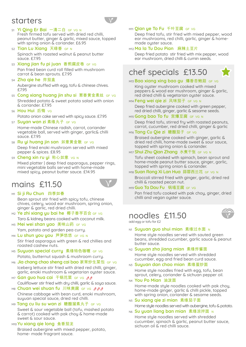### starters



#### S1 **Yi Qing Er Bai** 一清二白 GF VG N Fresh firmed tofu served with dried red chilli, peanut butter, ginger & garlic, mixed sauce, topped with spring onion & coriander. £6.95

- S2 **Tian Lu Xiang** 天绿香 GF N Spinach with roasted walnut & peanut butter sauce. £7.95
- S3 **Xiang jian fu pi juan** 香煎腐皮卷 GF VG Pan fried bean curd roll filled with mushroom carrot & bean sprouts. £7.95
- S4 **Zha qie he** 炸茄盒 Aubergine stuffed with egg, tofu & chinese chives. £7.95
- S5 **Cong xiang huang jin shu si** 葱香黄金素丝 GF VG Shredded potato & sweet potato salad with onion & coriander. £7.95
- S6 **Hou Hui** 后悔 VG

Potato onion cake served with spicy sauce. £7.95

- S7 **Suyan wan zi** 素缘丸子 GF VG Home-made Chinese radish, carrot, coriander vegetable ball, served with ginger, garlic& chilli
- sauce. £7.95 S8 **Ru yi huang jin san** 如意黄金散 GF VG Deep fried enoki mushroom served with mixed pepper & spices. £8.95
- S9 **Cheng xin ru yi** 称心如意 VG N

Mixed platter | deep fried asparagus, pepper rings, mini vegetable balls served with home-made mixed spicy, peanut butter sauce. £14.95

## mains £11.50



#### M1 **Si ji Ru Chun** 四季如春

Bean sprout stir fried with spicy tofu, chinese chives, celery, wood ear mushroom, spring onion, ginger & garlic, red dried chilli.

- M2 **Ye zhi xiang yu bai he** 椰子香芋百合 GF VG Taro & kidney beans cooked with coconut milk.
- M3 **Mei wei shan yao** 美味山药 GF VG Yam, potato and garden pea curry.
- M4 **Lu shun you you** 芦笋悠悠 GF VG N

Stir fried asparagus with green & red chillies and roasted cashew nuts.

- M5 **Suuuan special curru** 素缘特色咖喱 GF VG Potato, butternut squash & mushroom curry.
- M6 **Jia chang chao sheng cai bao** 家常炒生菜包 GF VG Iceberg lettuce stir fried with dried red chilli, ginger, garlic, enoki mushroom & vegetarian oyster sauce.
- M7 **Gan quo hua cai** 干锅花菜 GF VG pp Cauliflower stir fried with dry chilli, garlic & soya sauce.
- M8 Chuan wei shuan fu 川味爽腐 GF VG *bbb* Chinese cabbage with bean curd, enoki mushroom, suyuan special sauce, dried red chilli.
- **M9 Tang cu liu su wan zi 糖醋溜素丸子 GF VG** Sweet & sour vegetable ball (tofu, mashed potato & carrot) cooked with pak choy & home-made sweet & sour sauce.

### M10 **Yu xiang qie long** 鱼香茄龙

Braised aubergine with mixed pepper, potato, home- made fragrant sauce.

### M11 **Qian ye To Fu** 千叶豆腐 GF VG

Deep fried tofu, stir fried with mixed pepper, wood ear mushrooms, red chilli, garlic, ginger & homemade oyster sauce.

### M12 **Ma la Tu Dou Pian** 麻辣土豆片

Deep fried potato stir fried with mix pepper, wood ear mushroom, dried chilli & cumin seeds.



### **M13 Bao xiang xing bao gu 爆香杏鲍菇 GF VG**

King oyster mushroom cooked with mixed peppers & wood ear mushroom, ginger & garlic, red dried chilli & vegetarian oyster sauce.

#### M14 **Feng wei qie zi** 风味茄子 GF VG N

Deep fried aubergine cooked with green pepper, red dried chilli, ginger, garlic & sesame seeds.

#### M15**Gong bao To fu** 宫爆豆腐 GF VG N

Deep fried tofu, stirred fry with roasted peanuts, carrot, cucumber, red dried chilli, ginger & garlic

#### M16 **Tang Cu Qie zi** 糖醋茄子 GF VG

Braised aubergine cooked with ginger, garlic & dried red chilli, home-made sweet & sour sauce, topped with spring onion & coriander.

#### **M17 Shui Zhu Qian Zhang** 水煮干张 GF VG N

Tofu sheet cooked with spinach, bean sprout and home-made peanut butter sauce, ginger, garlic, topped with spring onion & coriander.

#### **M18 Suan Rong Xi Lan Hua 蒜蓉西兰花 GF VG N**

Broccoli stirred fried with ginger, garlic, dried red chilli & roasted pecan nut.

#### **M19 GUO Ta Dou Fu** 锅塌豆腐 GF VG

Pan fried tofu cooked with pak choy, ginger, dried chilli and vegan oyster sauce.

## noodles £11.50



add egg or tofu for £2

### **N1 Suyuan guo shui mian** 素缘过水面 N

Home style noodles served with sauted green beans, shredded cucumber, garlic sauce & peanut butter sauce.

- **N2 Suyuan zha jiang mian** 素缘炸酱面 Home style noodles served with shredded cucumber, egg and fried bean curd sauce.
- **N3 Suuuan dan chao mian** 素缘蛋炒面 Home style noodles fried with egg, tofu, bean sprout, celery, coriander & sichuan pepper oil.
- **N4 You Po Mian 油泼面**

sichuan oil & red chilli sauce.

Home-made style noodles cooked with pak choy, home-made ginger, garlic & chilli pickle, topped with spring onion, coriander & sesame seeds.

- N5 **Su xiang qie zi mian** 素缘茄子面 Home style noodles served with aubergine, tofu & potato.
- **N6 Su yuan liang ban mian** 素缘凉拌面 N Home style noodles served with shredded cucumber, spinach & garlic, peanut butter sauce,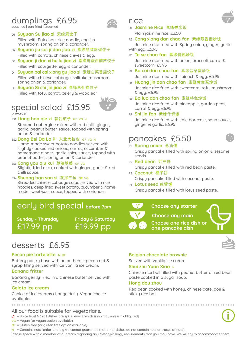## dumplings £6.95

poached | pan fried | steamed

D1 **Suyuan Su jiao zi** 素缘素饺子

Filled with Pak choy, rice noodle, english mushroom, spring onion & coriander.

- D2 **Suyuan jiu cai ji dan jiao zi** 素缘韭菜鸡蛋饺子 Filled with carrots, chinese chives & egg.
- D3 **Suyuan ji dan xi hu lu jiao zi** 素缘鸡蛋西葫芦饺子 Filled with courgette, egg & coriander.
- D4 **Suyuan bai cai xiang gu jiao zi** 素缘白菜香菇饺子 Filled with chinese cabbage, shiitake mushroom, spring onion & coriander.
- D5 **Suyuan Si shi jin jiao zi** 素缘素什锦饺子 Filled with tofu, carrot, celery & wood ear

### special salad £15.95 pre-order



#### SS1 Liang ban qie zi 蒜泥茄子 GF VG N

Steamed aubergine mixed with red chilli, ginger, garlic, peanut butter sauce, topped with spring onion & coriander.

SS2 **Dong Bei Da La Pi** 东北大拉皮GF VG N

Home-made sweet potato noodles served with slightly cooked red onions, carrot, cucumber & homemade ginger, garlic spicy sauce, topped with peanut butter, spring onion & coriander.

- SS3 **Cong you qiu kui** 葱油秋葵 GF VG Slightly fried okra, cooked with ginger, garlic & red chilli sauce.
- SS4 **Shuang ban san si** 双拌三丝 GF VG

Shredded chinese cabbage salad served with rice noodles, deep fried sweet potato, cucumber & homemade sweet-sour sauce, topped with coriander.

### early bird special **before 7pm**

**Sunday - Thursday** £17.99 pp

**Friday & Saturday** £19.99 pp

### rice

R1 **Jasmine Rice** 素缘香米饭

Plain jasmine rice. £3.50

R2 **Cong xiang dan chao fan** 素缘葱香蛋炒饭

Jasmine rice fried with Spring onion, ginger, garlic with egg. £5.95

R3 **Te se chao fan** 素缘特色炒饭

Jasmine rice fried with onion, broccoli, carrot & sweetcorn. £5.95

R4 **Bo cai dan chao fan** 素缘菠菜蛋炒饭

Jasmine rice fried with spinach & egg. £5.95

- R5 **Huang jin dan chao fan** 素缘黄金蛋炒饭 Jasmine rice fried with sweetcorn, tofu, mushroom & egg. £6.95
- R6 **Bo luo dan chao fan** 素缘特色炒饭

Jasmine rice fried with pineapple, garden peas, carrot & egg. £6.95

R7 **Shi jin fan** 素缘什锦饭

Jasmine rice fried with kale borecole, soya sauce, ginger & garlic. £6.95

### pancakes £5.50



- **P1 Spring onion 葱油饼** 
	- Crispy pancake filled with spring onion & sesame seeds.
- P2 **Red bean** 红豆饼 Crispy pancake filled with red bean paste.
- P3 **Coconut** 椰子饼 Crispy pancake filled with coconut paste.
- P4 **Lotus seed** 莲蓉饼 Crispy pancake filled with lotus seed paste.

#### **Choose any starter**

**Choose any main**

**Choose one rice dish or one pancake dish**



### desserts £6.95

#### **Pecan pie tartelette** N GF

Buttery pastry base with an authentic pecan nut & syrup filling served with ice vanilla ice cream.

#### **Banana fritter**

Banana gently fried in a chinese butter served with ice cream.

#### **Gelato ice cream**

Choice of ice creams change daily. Vegan choice available.

#### All our food is suitable for vegetarians.

 $\oint$  = Spice level 1-3 (all dishes are spice level 1, which is normal, unless highlighted)

- VG = Vegan (or vegan option available)
- GF = Gluten free (or gluten free option available)
- $N =$  Contains nuts (unfortunately we cannot guarantee that other dishes do not contain nuts or traces of nuts)

Please speak with a member of our team regarding any dietary/allergy requirements that you may have. We will try to accommodate them.

#### **Belgian chocolate brownie**

Served with vanilla ice cream

#### **Shui zhu Yuan Xiao** N

Chinese rice ball filled with peanut butter or red bean paste cooked in a sugar soup.

#### **Hong dou zhou**

Red bean cooked with honey, chinese date, goji & sticky rice ball.